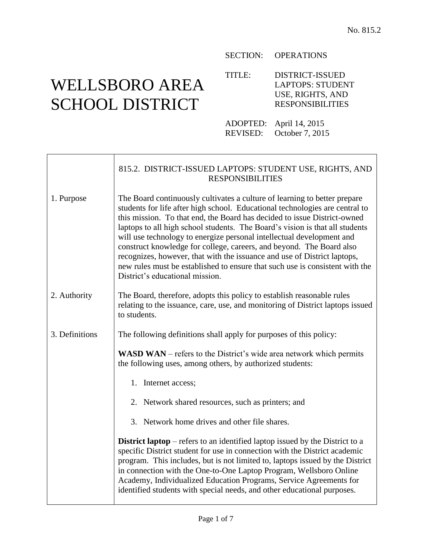# WELLSBORO AREA SCHOOL DISTRICT

#### SECTION: OPERATIONS

TITLE: DISTRICT-ISSUED LAPTOPS: STUDENT USE, RIGHTS, AND RESPONSIBILITIES

ADOPTED: April 14, 2015 REVISED: October 7, 2015

|                | 815.2. DISTRICT-ISSUED LAPTOPS: STUDENT USE, RIGHTS, AND<br><b>RESPONSIBILITIES</b>                                                                                                                                                                                                                                                                                                                                                                                                                                                                                                                                                                                   |
|----------------|-----------------------------------------------------------------------------------------------------------------------------------------------------------------------------------------------------------------------------------------------------------------------------------------------------------------------------------------------------------------------------------------------------------------------------------------------------------------------------------------------------------------------------------------------------------------------------------------------------------------------------------------------------------------------|
| 1. Purpose     | The Board continuously cultivates a culture of learning to better prepare<br>students for life after high school. Educational technologies are central to<br>this mission. To that end, the Board has decided to issue District-owned<br>laptops to all high school students. The Board's vision is that all students<br>will use technology to energize personal intellectual development and<br>construct knowledge for college, careers, and beyond. The Board also<br>recognizes, however, that with the issuance and use of District laptops,<br>new rules must be established to ensure that such use is consistent with the<br>District's educational mission. |
| 2. Authority   | The Board, therefore, adopts this policy to establish reasonable rules<br>relating to the issuance, care, use, and monitoring of District laptops issued<br>to students.                                                                                                                                                                                                                                                                                                                                                                                                                                                                                              |
| 3. Definitions | The following definitions shall apply for purposes of this policy:                                                                                                                                                                                                                                                                                                                                                                                                                                                                                                                                                                                                    |
|                | <b>WASD WAN</b> – refers to the District's wide area network which permits<br>the following uses, among others, by authorized students:                                                                                                                                                                                                                                                                                                                                                                                                                                                                                                                               |
|                | 1. Internet access;                                                                                                                                                                                                                                                                                                                                                                                                                                                                                                                                                                                                                                                   |
|                | 2. Network shared resources, such as printers; and                                                                                                                                                                                                                                                                                                                                                                                                                                                                                                                                                                                                                    |
|                | 3. Network home drives and other file shares.                                                                                                                                                                                                                                                                                                                                                                                                                                                                                                                                                                                                                         |
|                | <b>District laptop</b> – refers to an identified laptop issued by the District to a<br>specific District student for use in connection with the District academic<br>program. This includes, but is not limited to, laptops issued by the District<br>in connection with the One-to-One Laptop Program, Wellsboro Online<br>Academy, Individualized Education Programs, Service Agreements for<br>identified students with special needs, and other educational purposes.                                                                                                                                                                                             |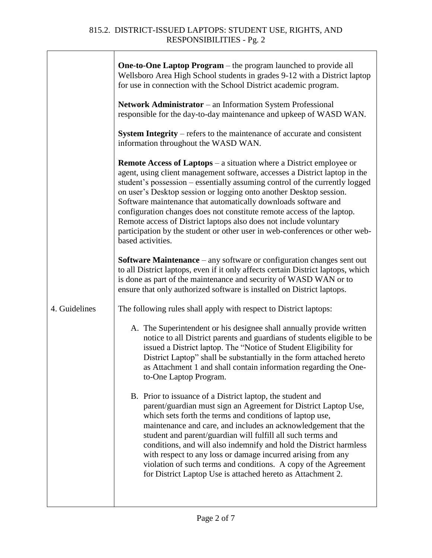|               | <b>One-to-One Laptop Program</b> – the program launched to provide all<br>Wellsboro Area High School students in grades 9-12 with a District laptop<br>for use in connection with the School District academic program.<br><b>Network Administrator</b> – an Information System Professional<br>responsible for the day-to-day maintenance and upkeep of WASD WAN.                                                                                                                                                                                                                                                                 |
|---------------|------------------------------------------------------------------------------------------------------------------------------------------------------------------------------------------------------------------------------------------------------------------------------------------------------------------------------------------------------------------------------------------------------------------------------------------------------------------------------------------------------------------------------------------------------------------------------------------------------------------------------------|
|               | <b>System Integrity</b> – refers to the maintenance of accurate and consistent<br>information throughout the WASD WAN.                                                                                                                                                                                                                                                                                                                                                                                                                                                                                                             |
|               | <b>Remote Access of Laptops</b> – a situation where a District employee or<br>agent, using client management software, accesses a District laptop in the<br>student's possession - essentially assuming control of the currently logged<br>on user's Desktop session or logging onto another Desktop session.<br>Software maintenance that automatically downloads software and<br>configuration changes does not constitute remote access of the laptop.<br>Remote access of District laptops also does not include voluntary<br>participation by the student or other user in web-conferences or other web-<br>based activities. |
|               | <b>Software Maintenance</b> – any software or configuration changes sent out<br>to all District laptops, even if it only affects certain District laptops, which<br>is done as part of the maintenance and security of WASD WAN or to<br>ensure that only authorized software is installed on District laptops.                                                                                                                                                                                                                                                                                                                    |
| 4. Guidelines | The following rules shall apply with respect to District laptops:                                                                                                                                                                                                                                                                                                                                                                                                                                                                                                                                                                  |
|               | A. The Superintendent or his designee shall annually provide written<br>notice to all District parents and guardians of students eligible to be<br>issued a District laptop. The "Notice of Student Eligibility for<br>District Laptop" shall be substantially in the form attached hereto<br>as Attachment 1 and shall contain information regarding the One-<br>to-One Laptop Program.                                                                                                                                                                                                                                           |
|               | B. Prior to issuance of a District laptop, the student and<br>parent/guardian must sign an Agreement for District Laptop Use,<br>which sets forth the terms and conditions of laptop use,<br>maintenance and care, and includes an acknowledgement that the<br>student and parent/guardian will fulfill all such terms and<br>conditions, and will also indemnify and hold the District harmless<br>with respect to any loss or damage incurred arising from any<br>violation of such terms and conditions. A copy of the Agreement<br>for District Laptop Use is attached hereto as Attachment 2.                                 |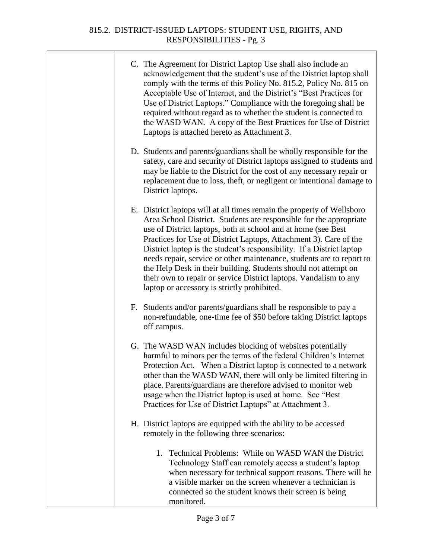### 815.2. DISTRICT-ISSUED LAPTOPS: STUDENT USE, RIGHTS, AND RESPONSIBILITIES - Pg. 3

| C. The Agreement for District Laptop Use shall also include an      |
|---------------------------------------------------------------------|
| acknowledgement that the student's use of the District laptop shall |
| comply with the terms of this Policy No. 815.2, Policy No. 815 on   |
| Acceptable Use of Internet, and the District's "Best Practices for  |
| Use of District Laptops." Compliance with the foregoing shall be    |
| required without regard as to whether the student is connected to   |
| the WASD WAN. A copy of the Best Practices for Use of District      |
| Laptops is attached hereto as Attachment 3.                         |

D. Students and parents/guardians shall be wholly responsible for the safety, care and security of District laptops assigned to students and may be liable to the District for the cost of any necessary repair or replacement due to loss, theft, or negligent or intentional damage to District laptops.

E. District laptops will at all times remain the property of Wellsboro Area School District. Students are responsible for the appropriate use of District laptops, both at school and at home (see Best Practices for Use of District Laptops, Attachment 3). Care of the District laptop is the student's responsibility. If a District laptop needs repair, service or other maintenance, students are to report to the Help Desk in their building. Students should not attempt on their own to repair or service District laptops. Vandalism to any laptop or accessory is strictly prohibited.

- F. Students and/or parents/guardians shall be responsible to pay a non-refundable, one-time fee of \$50 before taking District laptops off campus.
- G. The WASD WAN includes blocking of websites potentially harmful to minors per the terms of the federal Children's Internet Protection Act. When a District laptop is connected to a network other than the WASD WAN, there will only be limited filtering in place. Parents/guardians are therefore advised to monitor web usage when the District laptop is used at home. See "Best Practices for Use of District Laptops" at Attachment 3.
- H. District laptops are equipped with the ability to be accessed remotely in the following three scenarios:
	- 1. Technical Problems: While on WASD WAN the District Technology Staff can remotely access a student's laptop when necessary for technical support reasons. There will be a visible marker on the screen whenever a technician is connected so the student knows their screen is being monitored.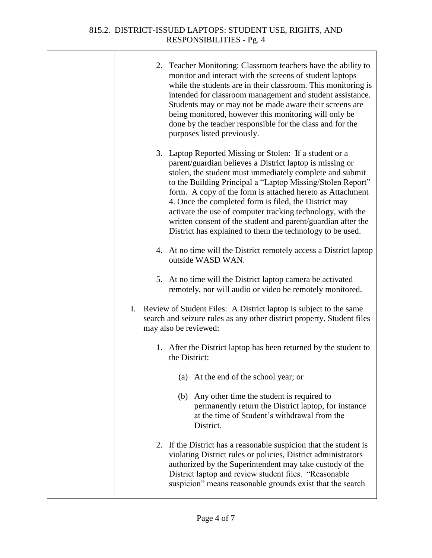T

| 2. Teacher Monitoring: Classroom teachers have the ability to<br>monitor and interact with the screens of student laptops<br>while the students are in their classroom. This monitoring is<br>intended for classroom management and student assistance.<br>Students may or may not be made aware their screens are<br>being monitored, however this monitoring will only be<br>done by the teacher responsible for the class and for the<br>purposes listed previously.                                                                                        |
|----------------------------------------------------------------------------------------------------------------------------------------------------------------------------------------------------------------------------------------------------------------------------------------------------------------------------------------------------------------------------------------------------------------------------------------------------------------------------------------------------------------------------------------------------------------|
| 3. Laptop Reported Missing or Stolen: If a student or a<br>parent/guardian believes a District laptop is missing or<br>stolen, the student must immediately complete and submit<br>to the Building Principal a "Laptop Missing/Stolen Report"<br>form. A copy of the form is attached hereto as Attachment<br>4. Once the completed form is filed, the District may<br>activate the use of computer tracking technology, with the<br>written consent of the student and parent/guardian after the<br>District has explained to them the technology to be used. |
| 4. At no time will the District remotely access a District laptop<br>outside WASD WAN.                                                                                                                                                                                                                                                                                                                                                                                                                                                                         |
| 5. At no time will the District laptop camera be activated<br>remotely, nor will audio or video be remotely monitored.                                                                                                                                                                                                                                                                                                                                                                                                                                         |
| I. Review of Student Files: A District laptop is subject to the same<br>search and seizure rules as any other district property. Student files<br>may also be reviewed:                                                                                                                                                                                                                                                                                                                                                                                        |
| 1. After the District laptop has been returned by the student to<br>the District:                                                                                                                                                                                                                                                                                                                                                                                                                                                                              |
| (a) At the end of the school year; or                                                                                                                                                                                                                                                                                                                                                                                                                                                                                                                          |
| (b) Any other time the student is required to<br>permanently return the District laptop, for instance<br>at the time of Student's withdrawal from the<br>District.                                                                                                                                                                                                                                                                                                                                                                                             |
| 2. If the District has a reasonable suspicion that the student is<br>violating District rules or policies, District administrators<br>authorized by the Superintendent may take custody of the<br>District laptop and review student files. "Reasonable<br>suspicion" means reasonable grounds exist that the search                                                                                                                                                                                                                                           |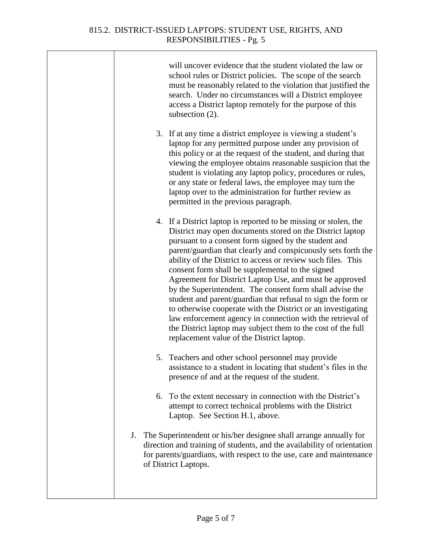T

|    |    | will uncover evidence that the student violated the law or<br>school rules or District policies. The scope of the search<br>must be reasonably related to the violation that justified the<br>search. Under no circumstances will a District employee<br>access a District laptop remotely for the purpose of this<br>subsection (2).                                                                                                                                                                                                                                                                                                                                                                                                                                                                        |
|----|----|--------------------------------------------------------------------------------------------------------------------------------------------------------------------------------------------------------------------------------------------------------------------------------------------------------------------------------------------------------------------------------------------------------------------------------------------------------------------------------------------------------------------------------------------------------------------------------------------------------------------------------------------------------------------------------------------------------------------------------------------------------------------------------------------------------------|
|    |    | 3. If at any time a district employee is viewing a student's<br>laptop for any permitted purpose under any provision of<br>this policy or at the request of the student, and during that<br>viewing the employee obtains reasonable suspicion that the<br>student is violating any laptop policy, procedures or rules,<br>or any state or federal laws, the employee may turn the<br>laptop over to the administration for further review as<br>permitted in the previous paragraph.                                                                                                                                                                                                                                                                                                                         |
|    |    | 4. If a District laptop is reported to be missing or stolen, the<br>District may open documents stored on the District laptop<br>pursuant to a consent form signed by the student and<br>parent/guardian that clearly and conspicuously sets forth the<br>ability of the District to access or review such files. This<br>consent form shall be supplemental to the signed<br>Agreement for District Laptop Use, and must be approved<br>by the Superintendent. The consent form shall advise the<br>student and parent/guardian that refusal to sign the form or<br>to otherwise cooperate with the District or an investigating<br>law enforcement agency in connection with the retrieval of<br>the District laptop may subject them to the cost of the full<br>replacement value of the District laptop. |
|    | 5. | Teachers and other school personnel may provide<br>assistance to a student in locating that student's files in the<br>presence of and at the request of the student.                                                                                                                                                                                                                                                                                                                                                                                                                                                                                                                                                                                                                                         |
|    |    | 6. To the extent necessary in connection with the District's<br>attempt to correct technical problems with the District<br>Laptop. See Section H.1, above.                                                                                                                                                                                                                                                                                                                                                                                                                                                                                                                                                                                                                                                   |
| J. |    | The Superintendent or his/her designee shall arrange annually for<br>direction and training of students, and the availability of orientation<br>for parents/guardians, with respect to the use, care and maintenance<br>of District Laptops.                                                                                                                                                                                                                                                                                                                                                                                                                                                                                                                                                                 |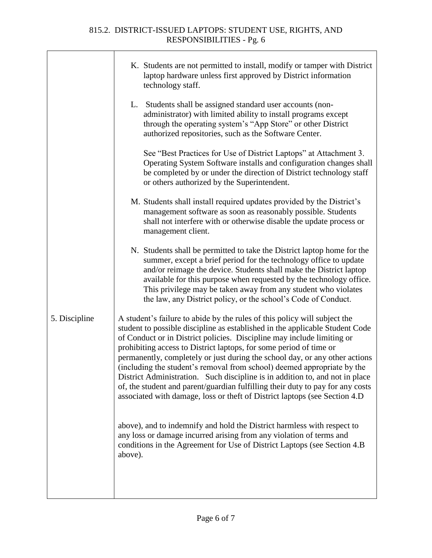## 815.2. DISTRICT-ISSUED LAPTOPS: STUDENT USE, RIGHTS, AND RESPONSIBILITIES - Pg. 6

Т

|               | K. Students are not permitted to install, modify or tamper with District<br>laptop hardware unless first approved by District information<br>technology staff.                                                                                                                                                                                                                                                                                                                                                                                                                                                                                                                                                      |
|---------------|---------------------------------------------------------------------------------------------------------------------------------------------------------------------------------------------------------------------------------------------------------------------------------------------------------------------------------------------------------------------------------------------------------------------------------------------------------------------------------------------------------------------------------------------------------------------------------------------------------------------------------------------------------------------------------------------------------------------|
|               | L. Students shall be assigned standard user accounts (non-<br>administrator) with limited ability to install programs except<br>through the operating system's "App Store" or other District<br>authorized repositories, such as the Software Center.                                                                                                                                                                                                                                                                                                                                                                                                                                                               |
|               | See "Best Practices for Use of District Laptops" at Attachment 3.<br>Operating System Software installs and configuration changes shall<br>be completed by or under the direction of District technology staff<br>or others authorized by the Superintendent.                                                                                                                                                                                                                                                                                                                                                                                                                                                       |
|               | M. Students shall install required updates provided by the District's<br>management software as soon as reasonably possible. Students<br>shall not interfere with or otherwise disable the update process or<br>management client.                                                                                                                                                                                                                                                                                                                                                                                                                                                                                  |
|               | N. Students shall be permitted to take the District laptop home for the<br>summer, except a brief period for the technology office to update<br>and/or reimage the device. Students shall make the District laptop<br>available for this purpose when requested by the technology office.<br>This privilege may be taken away from any student who violates<br>the law, any District policy, or the school's Code of Conduct.                                                                                                                                                                                                                                                                                       |
| 5. Discipline | A student's failure to abide by the rules of this policy will subject the<br>student to possible discipline as established in the applicable Student Code<br>of Conduct or in District policies. Discipline may include limiting or<br>prohibiting access to District laptops, for some period of time or<br>permanently, completely or just during the school day, or any other actions<br>(including the student's removal from school) deemed appropriate by the<br>District Administration. Such discipline is in addition to, and not in place<br>of, the student and parent/guardian fulfilling their duty to pay for any costs<br>associated with damage, loss or theft of District laptops (see Section 4.D |
|               | above), and to indemnify and hold the District harmless with respect to<br>any loss or damage incurred arising from any violation of terms and<br>conditions in the Agreement for Use of District Laptops (see Section 4.B)<br>above).                                                                                                                                                                                                                                                                                                                                                                                                                                                                              |
|               |                                                                                                                                                                                                                                                                                                                                                                                                                                                                                                                                                                                                                                                                                                                     |